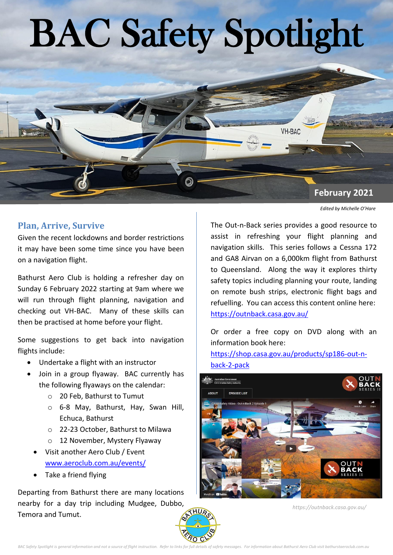# BAC Safety Spotlight

# **February 2021**

*Edited by Michelle O'Hare*

### **Plan, Arrive, Survive**

Given the recent lockdowns and border restrictions it may have been some time since you have been on a navigation flight.

Bathurst Aero Club is holding a refresher day on Sunday 6 February 2022 starting at 9am where we will run through flight planning, navigation and checking out VH-BAC. Many of these skills can then be practised at home before your flight.

Some suggestions to get back into navigation flights include:

- Undertake a flight with an instructor
- Join in a group flyaway. BAC currently has the following flyaways on the calendar:
	- o 20 Feb, Bathurst to Tumut
	- o 6-8 May, Bathurst, Hay, Swan Hill, Echuca, Bathurst
	- o 22-23 October, Bathurst to Milawa
	- o 12 November, Mystery Flyaway
	- Visit another Aero Club / Event [www.aeroclub.com.au/events/](http://www.aeroclub.com.au/events/)
	- Take a friend flying

Departing from Bathurst there are many locations nearby for a day trip including Mudgee, Dub[bo,](http://www.bathurstaeroclub.com.au)  Temora and Tumut.

The Out-n-Back series provides a good resource to assist in refreshing your flight planning and navigation skills. This series follows a Cessna 172 and GA8 Airvan on a 6,000km flight from Bathurst to Queensland. Along the way it explores thirty safety topics including planning your route, landing on remote bush strips, electronic flight bags and refuelling. You can access this content online here: <https://outnback.casa.gov.au/>

**VH-BAC** 

Or order a free copy on DVD along with an information book here:

[https://shop.casa.gov.au/products/sp186-out-n](https://shop.casa.gov.au/products/sp186-out-n-back-2-pack)[back-2-pack](https://shop.casa.gov.au/products/sp186-out-n-back-2-pack)



*https://outnback.casa.gov.au/*